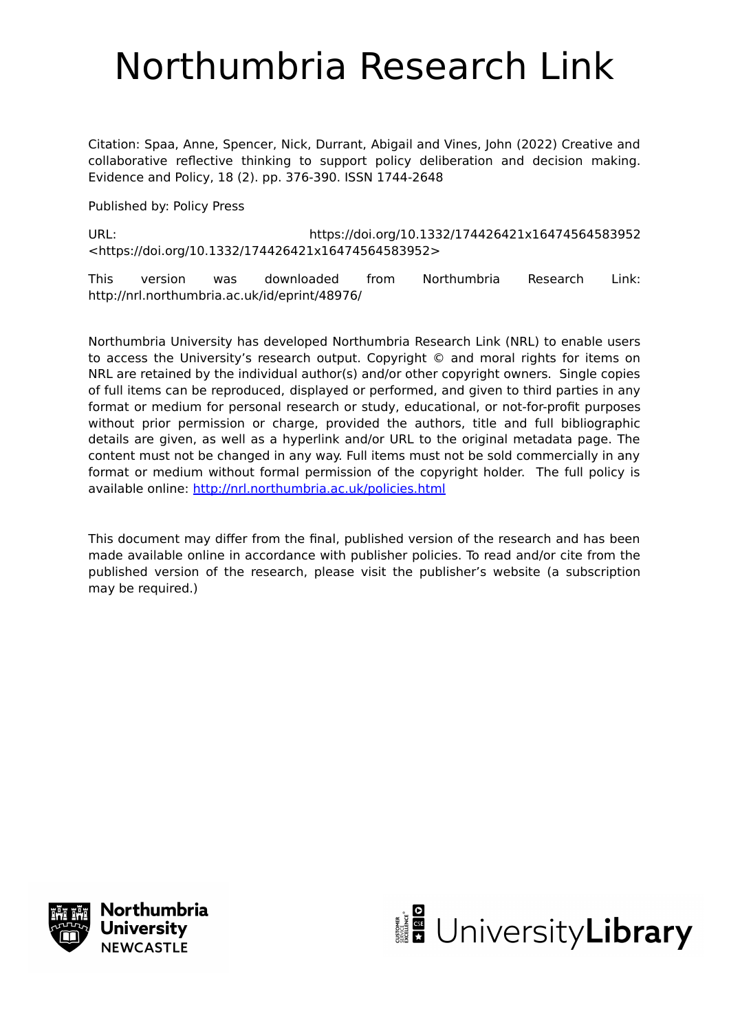# Northumbria Research Link

Citation: Spaa, Anne, Spencer, Nick, Durrant, Abigail and Vines, John (2022) Creative and collaborative reflective thinking to support policy deliberation and decision making. Evidence and Policy, 18 (2). pp. 376-390. ISSN 1744-2648

Published by: Policy Press

URL: https://doi.org/10.1332/174426421x16474564583952 <https://doi.org/10.1332/174426421x16474564583952>

This version was downloaded from Northumbria Research Link: http://nrl.northumbria.ac.uk/id/eprint/48976/

Northumbria University has developed Northumbria Research Link (NRL) to enable users to access the University's research output. Copyright © and moral rights for items on NRL are retained by the individual author(s) and/or other copyright owners. Single copies of full items can be reproduced, displayed or performed, and given to third parties in any format or medium for personal research or study, educational, or not-for-profit purposes without prior permission or charge, provided the authors, title and full bibliographic details are given, as well as a hyperlink and/or URL to the original metadata page. The content must not be changed in any way. Full items must not be sold commercially in any format or medium without formal permission of the copyright holder. The full policy is available online:<http://nrl.northumbria.ac.uk/policies.html>

This document may differ from the final, published version of the research and has been made available online in accordance with publisher policies. To read and/or cite from the published version of the research, please visit the publisher's website (a subscription may be required.)



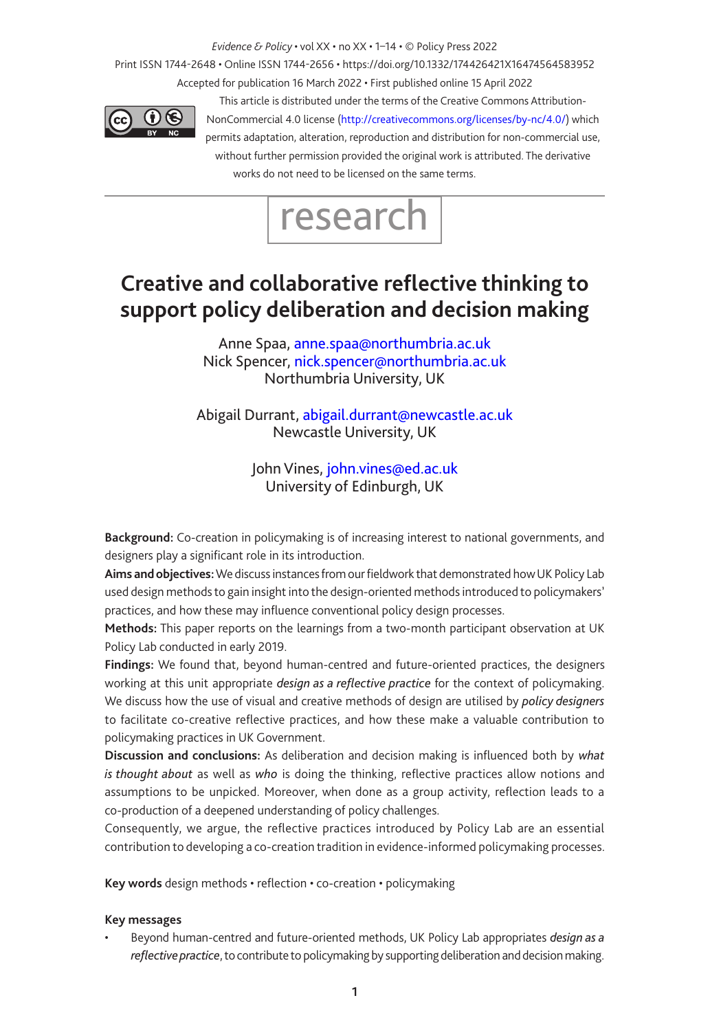*Evidence & Policy* • vol XX • no XX • 1–14 • © Policy Press 2022

Print ISSN 1744-2648 • Online ISSN 1744-2656 • https://doi.org/10.1332/174426421X16474564583952 Accepted for publication 16 March 2022 • First published online 15 April 2022



This article is distributed under the terms of the Creative Commons Attribution-NonCommercial 4.0 license (http://creativecommons.org/licenses/by-nc/4.0/) which permits adaptation, alteration, reproduction and distribution for non-commercial use, without further permission provided the original work is attributed. The derivative works do not need to be licensed on the same terms.



# **Creative and collaborative reflective thinking to support policy deliberation and decision making**

Anne Spaa, [anne.spaa@northumbria.ac.uk](mailto:anne.spaa@northumbria.ac.uk) Nick Spencer, [nick.spencer@northumbria.ac.uk](mailto:nick.spencer@northumbria.ac.uk) Northumbria University, UK

Abigail Durrant, [abigail.durrant@newcastle.ac.uk](mailto:abigail.durrant@newcastle.ac.uk) Newcastle University, UK

> John Vines, [john.vines@ed.ac.uk](mailto:john.vines@ed.ac.uk) University of Edinburgh, UK

**Background:** Co-creation in policymaking is of increasing interest to national governments, and designers play a significant role in its introduction.

**Aims and objectives:** We discuss instances from our fieldwork that demonstrated how UK Policy Lab used design methods to gain insight into the design-oriented methods introduced to policymakers' practices, and how these may influence conventional policy design processes.

**Methods:** This paper reports on the learnings from a two-month participant observation at UK Policy Lab conducted in early 2019.

**Findings:** We found that, beyond human-centred and future-oriented practices, the designers working at this unit appropriate *design as a reflective practice* for the context of policymaking. We discuss how the use of visual and creative methods of design are utilised by *policy designers* to facilitate co-creative reflective practices, and how these make a valuable contribution to policymaking practices in UK Government.

**Discussion and conclusions:** As deliberation and decision making is influenced both by *what is thought about* as well as *who* is doing the thinking, reflective practices allow notions and assumptions to be unpicked. Moreover, when done as a group activity, reflection leads to a co-production of a deepened understanding of policy challenges.

Consequently, we argue, the reflective practices introduced by Policy Lab are an essential contribution to developing a co-creation tradition in evidence-informed policymaking processes.

**Key words** design methods • reflection • co-creation • policymaking

#### **Key messages**

• Beyond human-centred and future-oriented methods, UK Policy Lab appropriates *design as a reflective practice*, to contribute to policymaking by supporting deliberation and decision making.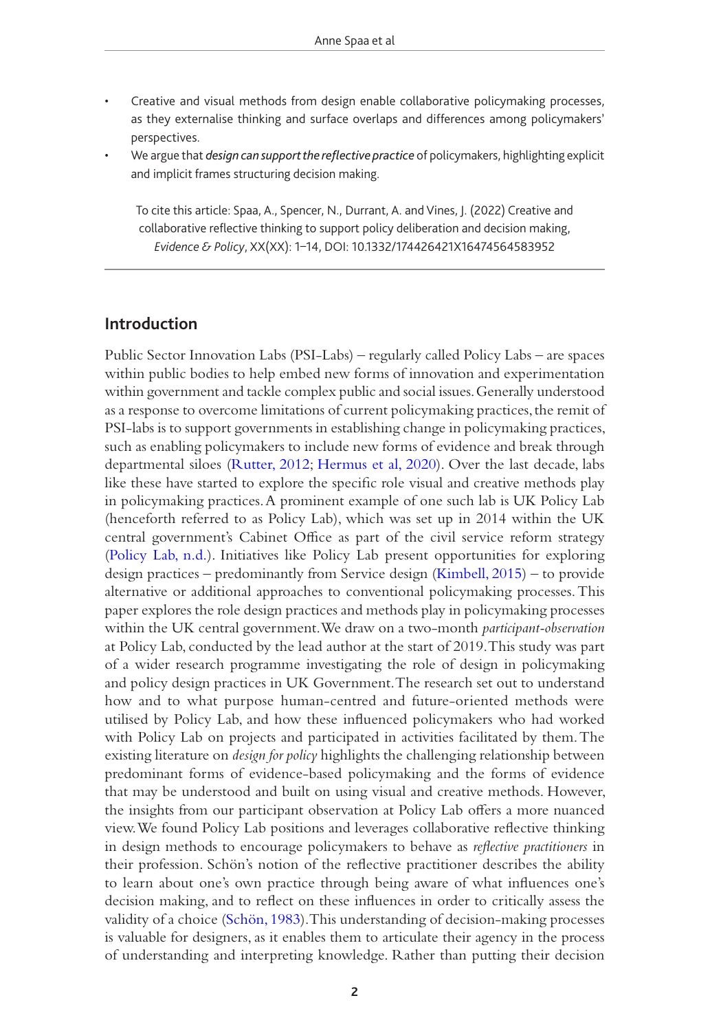- Creative and visual methods from design enable collaborative policymaking processes, as they externalise thinking and surface overlaps and differences among policymakers' perspectives.
- We argue that *design can support the reflective practice* of policymakers, highlighting explicit and implicit frames structuring decision making.

To cite this article: Spaa, A., Spencer, N., Durrant, A. and Vines, J. (2022) Creative and collaborative reflective thinking to support policy deliberation and decision making, *Evidence & Policy*, XX(XX): 1–14, DOI: 10.1332/174426421X16474564583952

## **Introduction**

Public Sector Innovation Labs (PSI-Labs) – regularly called Policy Labs – are spaces within public bodies to help embed new forms of innovation and experimentation within government and tackle complex public and social issues. Generally understood as a response to overcome limitations of current policymaking practices, the remit of PSI-labs is to support governments in establishing change in policymaking practices, such as enabling policymakers to include new forms of evidence and break through departmental siloes ([Rutter, 2012;](#page-14-0) [Hermus et al, 2020\)](#page-14-1). Over the last decade, labs like these have started to explore the specific role visual and creative methods play in policymaking practices. A prominent example of one such lab is UK Policy Lab (henceforth referred to as Policy Lab), which was set up in 2014 within the UK central government's Cabinet Office as part of the civil service reform strategy [\(Policy Lab, n.d.](#page-14-2)). Initiatives like Policy Lab present opportunities for exploring design practices – predominantly from Service design [\(Kimbell, 2015\)](#page-14-3) – to provide alternative or additional approaches to conventional policymaking processes. This paper explores the role design practices and methods play in policymaking processes within the UK central government. We draw on a two-month *participant-observation* at Policy Lab, conducted by the lead author at the start of 2019. This study was part of a wider research programme investigating the role of design in policymaking and policy design practices in UK Government. The research set out to understand how and to what purpose human-centred and future-oriented methods were utilised by Policy Lab, and how these influenced policymakers who had worked with Policy Lab on projects and participated in activities facilitated by them. The existing literature on *design for policy* highlights the challenging relationship between predominant forms of evidence-based policymaking and the forms of evidence that may be understood and built on using visual and creative methods. However, the insights from our participant observation at Policy Lab offers a more nuanced view. We found Policy Lab positions and leverages collaborative reflective thinking in design methods to encourage policymakers to behave as *reflective practitioners* in their profession. Schön's notion of the reflective practitioner describes the ability to learn about one's own practice through being aware of what influences one's decision making, and to reflect on these influences in order to critically assess the validity of a choice [\(Schön, 1983\)](#page-14-4). This understanding of decision-making processes is valuable for designers, as it enables them to articulate their agency in the process of understanding and interpreting knowledge. Rather than putting their decision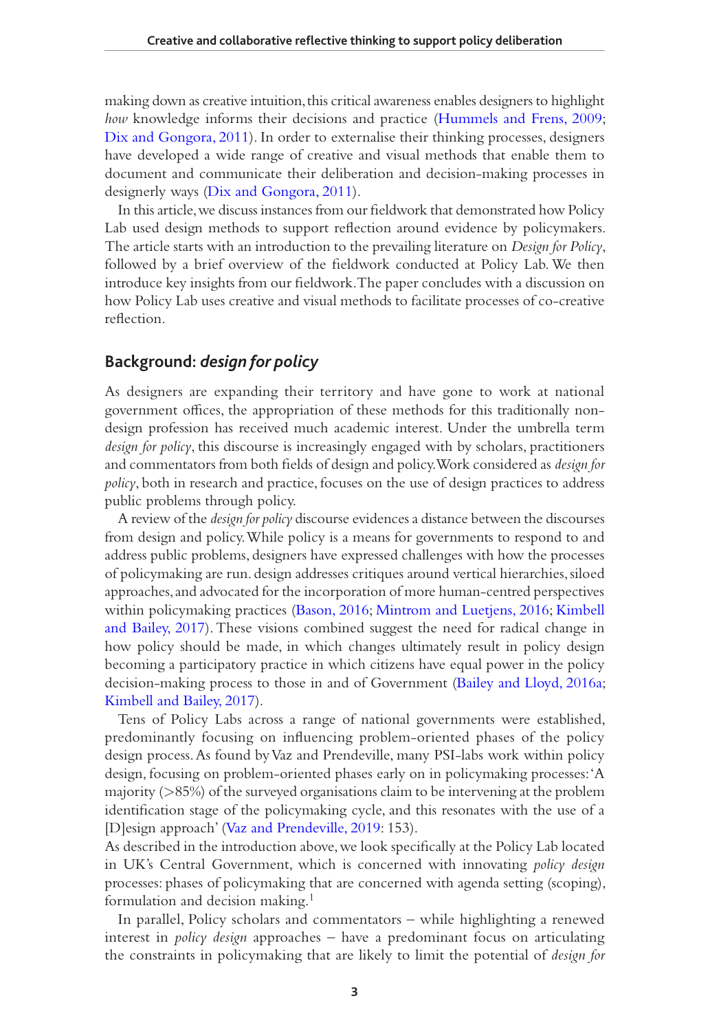making down as creative intuition, this critical awareness enables designers to highlight *how* knowledge informs their decisions and practice [\(Hummels and Frens, 2009;](#page-14-5) [Dix and Gongora, 2011](#page-14-6)). In order to externalise their thinking processes, designers have developed a wide range of creative and visual methods that enable them to document and communicate their deliberation and decision-making processes in designerly ways ([Dix and Gongora, 2011](#page-14-6)).

In this article, we discuss instances from our fieldwork that demonstrated how Policy Lab used design methods to support reflection around evidence by policymakers. The article starts with an introduction to the prevailing literature on *Design for Policy*, followed by a brief overview of the fieldwork conducted at Policy Lab. We then introduce key insights from our fieldwork. The paper concludes with a discussion on how Policy Lab uses creative and visual methods to facilitate processes of co-creative reflection.

#### **Background:** *design for policy*

As designers are expanding their territory and have gone to work at national government offices, the appropriation of these methods for this traditionally nondesign profession has received much academic interest. Under the umbrella term *design for policy*, this discourse is increasingly engaged with by scholars, practitioners and commentators from both fields of design and policy. Work considered as *design for policy*, both in research and practice, focuses on the use of design practices to address public problems through policy.

A review of the *design for policy* discourse evidences a distance between the discourses from design and policy. While policy is a means for governments to respond to and address public problems, designers have expressed challenges with how the processes of policymaking are run. design addresses critiques around vertical hierarchies, siloed approaches, and advocated for the incorporation of more human-centred perspectives within policymaking practices [\(Bason, 2016;](#page-13-0) [Mintrom and Luetjens, 2016;](#page-14-7) [Kimbell](#page-14-8)  [and Bailey, 2017\)](#page-14-8). These visions combined suggest the need for radical change in how policy should be made, in which changes ultimately result in policy design becoming a participatory practice in which citizens have equal power in the policy decision-making process to those in and of Government (Bailey and Lloyd, 2016a; [Kimbell and Bailey, 2017](#page-14-8)).

Tens of Policy Labs across a range of national governments were established, predominantly focusing on influencing problem-oriented phases of the policy design process. As found by Vaz and Prendeville, many PSI-labs work within policy design, focusing on problem-oriented phases early on in policymaking processes: 'A majority (>85%) of the surveyed organisations claim to be intervening at the problem identification stage of the policymaking cycle, and this resonates with the use of a [D]esign approach' [\(Vaz and Prendeville, 2019:](#page-14-9) 153).

As described in the introduction above, we look specifically at the Policy Lab located in UK's Central Government, which is concerned with innovating *policy design* processes: phases of policymaking that are concerned with agenda setting (scoping), formulation and decision making.1

In parallel, Policy scholars and commentators – while highlighting a renewed interest in *policy design* approaches – have a predominant focus on articulating the constraints in policymaking that are likely to limit the potential of *design for*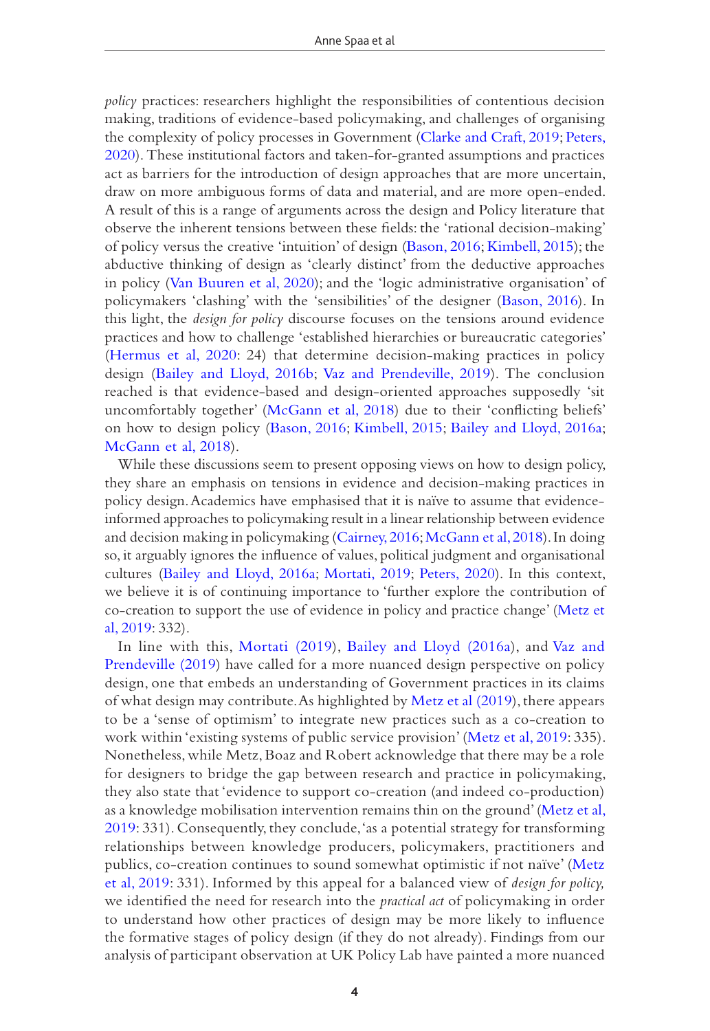*policy* practices: researchers highlight the responsibilities of contentious decision making, traditions of evidence-based policymaking, and challenges of organising the complexity of policy processes in Government ([Clarke and Craft, 2019](#page-13-1); [Peters,](#page-14-10)  [2020](#page-14-10)). These institutional factors and taken-for-granted assumptions and practices act as barriers for the introduction of design approaches that are more uncertain, draw on more ambiguous forms of data and material, and are more open-ended. A result of this is a range of arguments across the design and Policy literature that observe the inherent tensions between these fields: the 'rational decision-making' of policy versus the creative 'intuition' of design [\(Bason, 2016](#page-13-0); [Kimbell, 2015](#page-14-3)); the abductive thinking of design as 'clearly distinct' from the deductive approaches in policy ([Van Buuren et al, 2020](#page-14-11)); and the 'logic administrative organisation' of policymakers 'clashing' with the 'sensibilities' of the designer ([Bason, 2016](#page-13-0)). In this light, the *design for policy* discourse focuses on the tensions around evidence practices and how to challenge 'established hierarchies or bureaucratic categories' [\(Hermus et al, 2020:](#page-14-1) 24) that determine decision-making practices in policy design [\(Bailey and Lloyd, 2016b;](#page-13-2) [Vaz and Prendeville, 2019](#page-14-9)). The conclusion reached is that evidence-based and design-oriented approaches supposedly 'sit uncomfortably together' [\(McGann et al, 2018](#page-14-12)) due to their 'conflicting beliefs' on how to design policy ([Bason, 2016;](#page-13-0) [Kimbell, 2015](#page-14-3); [Bailey and Lloyd, 2016a;](#page-13-3) McGann et al[, 2018\)](#page-14-12).

While these discussions seem to present opposing views on how to design policy, they share an emphasis on tensions in evidence and decision-making practices in policy design. Academics have emphasised that it is naïve to assume that evidenceinformed approaches to policymaking result in a linear relationship between evidence and decision making in policymaking (Cairney, 2016; [McGann et al, 2018](#page-14-12)). In doing so, it arguably ignores the influence of values, political judgment and organisational cultures [\(Bailey and Lloyd, 2016a;](#page-13-3) [Mortati, 2019](#page-14-13); [Peters, 2020](#page-14-10)). In this context, we believe it is of continuing importance to 'further explore the contribution of co-creation to support the use of evidence in policy and practice change' [\(Metz et](#page-14-14)  [al, 2019](#page-14-14): 332).

In line with this, [Mortati \(2019](#page-14-13)), [Bailey and Lloyd \(2016a](#page-13-3)), and [Vaz and](#page-14-9)  [Prendeville \(2019](#page-14-9)) have called for a more nuanced design perspective on policy design, one that embeds an understanding of Government practices in its claims of what design may contribute. As highlighted by [Metz et al \(2019](#page-14-14)), there appears to be a 'sense of optimism' to integrate new practices such as a co-creation to work within 'existing systems of public service provision' [\(Metz et al, 2019:](#page-14-14) 335). Nonetheless, while Metz, Boaz and Robert acknowledge that there may be a role for designers to bridge the gap between research and practice in policymaking, they also state that 'evidence to support co-creation (and indeed co-production) as a knowledge mobilisation intervention remains thin on the ground' [\(Metz et al,](#page-14-14)  [2019](#page-14-14): 331). Consequently, they conclude, 'as a potential strategy for transforming relationships between knowledge producers, policymakers, practitioners and publics, co-creation continues to sound somewhat optimistic if not naïve' [\(Metz](#page-14-14)  [et al, 2019:](#page-14-14) 331). Informed by this appeal for a balanced view of *design for policy,* we identified the need for research into the *practical act* of policymaking in order to understand how other practices of design may be more likely to influence the formative stages of policy design (if they do not already). Findings from our analysis of participant observation at UK Policy Lab have painted a more nuanced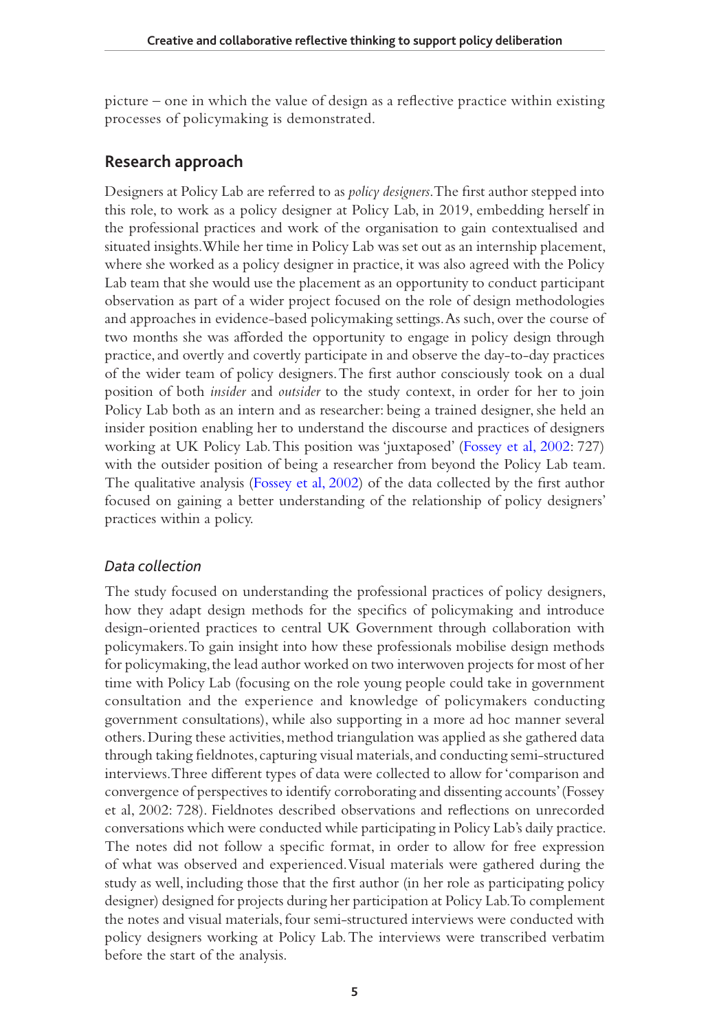picture – one in which the value of design as a reflective practice within existing processes of policymaking is demonstrated.

# **Research approach**

Designers at Policy Lab are referred to as *policy designers*. The first author stepped into this role, to work as a policy designer at Policy Lab, in 2019, embedding herself in the professional practices and work of the organisation to gain contextualised and situated insights. While her time in Policy Lab was set out as an internship placement, where she worked as a policy designer in practice, it was also agreed with the Policy Lab team that she would use the placement as an opportunity to conduct participant observation as part of a wider project focused on the role of design methodologies and approaches in evidence-based policymaking settings. As such, over the course of two months she was afforded the opportunity to engage in policy design through practice, and overtly and covertly participate in and observe the day-to-day practices of the wider team of policy designers. The first author consciously took on a dual position of both *insider* and *outsider* to the study context, in order for her to join Policy Lab both as an intern and as researcher: being a trained designer, she held an insider position enabling her to understand the discourse and practices of designers working at UK Policy Lab. This position was 'juxtaposed' [\(Fossey et al, 2002:](#page-14-15) 727) with the outsider position of being a researcher from beyond the Policy Lab team. The qualitative analysis [\(Fossey et al, 2002\)](#page-14-15) of the data collected by the first author focused on gaining a better understanding of the relationship of policy designers' practices within a policy.

## *Data collection*

The study focused on understanding the professional practices of policy designers, how they adapt design methods for the specifics of policymaking and introduce design-oriented practices to central UK Government through collaboration with policymakers. To gain insight into how these professionals mobilise design methods for policymaking, the lead author worked on two interwoven projects for most of her time with Policy Lab (focusing on the role young people could take in government consultation and the experience and knowledge of policymakers conducting government consultations), while also supporting in a more ad hoc manner several others. During these activities, method triangulation was applied as she gathered data through taking fieldnotes, capturing visual materials, and conducting semi-structured interviews. Three different types of data were collected to allow for 'comparison and convergence of perspectives to identify corroborating and dissenting accounts' (Fossey et al, 2002: 728). Fieldnotes described observations and reflections on unrecorded conversations which were conducted while participating in Policy Lab's daily practice. The notes did not follow a specific format, in order to allow for free expression of what was observed and experienced. Visual materials were gathered during the study as well, including those that the first author (in her role as participating policy designer) designed for projects during her participation at Policy Lab. To complement the notes and visual materials, four semi-structured interviews were conducted with policy designers working at Policy Lab. The interviews were transcribed verbatim before the start of the analysis.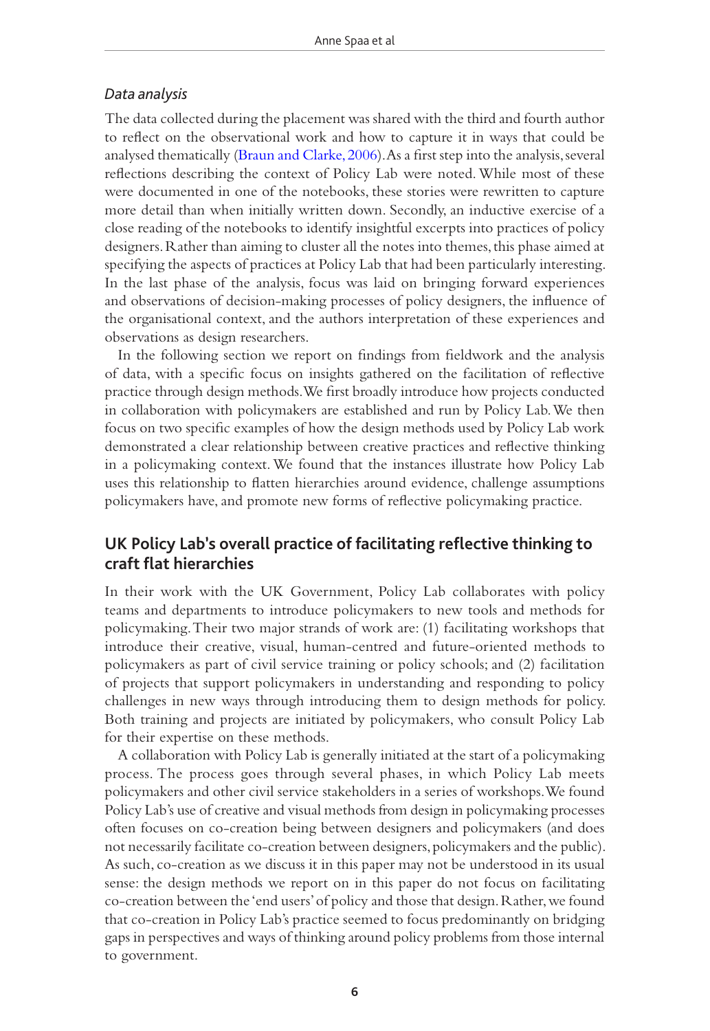#### *Data analysis*

The data collected during the placement was shared with the third and fourth author to reflect on the observational work and how to capture it in ways that could be analysed thematically ([Braun and Clarke, 2006](#page-13-4)). As a first step into the analysis, several reflections describing the context of Policy Lab were noted. While most of these were documented in one of the notebooks, these stories were rewritten to capture more detail than when initially written down. Secondly, an inductive exercise of a close reading of the notebooks to identify insightful excerpts into practices of policy designers. Rather than aiming to cluster all the notes into themes, this phase aimed at specifying the aspects of practices at Policy Lab that had been particularly interesting. In the last phase of the analysis, focus was laid on bringing forward experiences and observations of decision-making processes of policy designers, the influence of the organisational context, and the authors interpretation of these experiences and observations as design researchers.

In the following section we report on findings from fieldwork and the analysis of data, with a specific focus on insights gathered on the facilitation of reflective practice through design methods. We first broadly introduce how projects conducted in collaboration with policymakers are established and run by Policy Lab. We then focus on two specific examples of how the design methods used by Policy Lab work demonstrated a clear relationship between creative practices and reflective thinking in a policymaking context. We found that the instances illustrate how Policy Lab uses this relationship to flatten hierarchies around evidence, challenge assumptions policymakers have, and promote new forms of reflective policymaking practice.

# **UK Policy Lab's overall practice of facilitating reflective thinking to craft flat hierarchies**

In their work with the UK Government, Policy Lab collaborates with policy teams and departments to introduce policymakers to new tools and methods for policymaking. Their two major strands of work are: (1) facilitating workshops that introduce their creative, visual, human-centred and future-oriented methods to policymakers as part of civil service training or policy schools; and (2) facilitation of projects that support policymakers in understanding and responding to policy challenges in new ways through introducing them to design methods for policy. Both training and projects are initiated by policymakers, who consult Policy Lab for their expertise on these methods.

A collaboration with Policy Lab is generally initiated at the start of a policymaking process. The process goes through several phases, in which Policy Lab meets policymakers and other civil service stakeholders in a series of workshops. We found Policy Lab's use of creative and visual methods from design in policymaking processes often focuses on co-creation being between designers and policymakers (and does not necessarily facilitate co-creation between designers, policymakers and the public). As such, co-creation as we discuss it in this paper may not be understood in its usual sense: the design methods we report on in this paper do not focus on facilitating co-creation between the 'end users' of policy and those that design. Rather, we found that co-creation in Policy Lab's practice seemed to focus predominantly on bridging gaps in perspectives and ways of thinking around policy problems from those internal to government.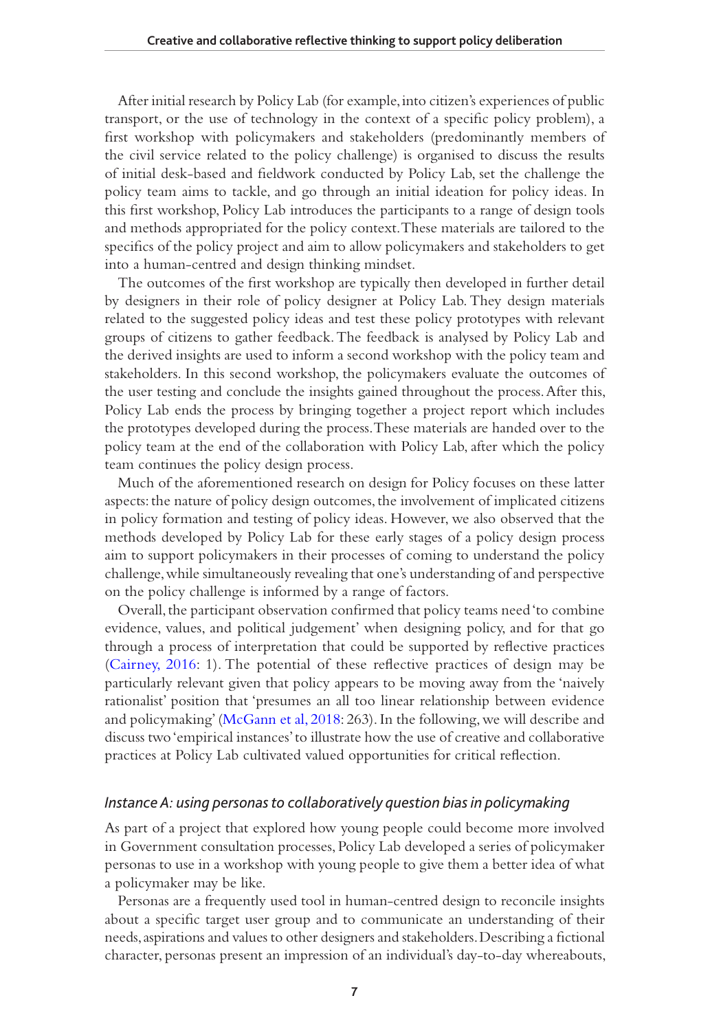After initial research by Policy Lab (for example, into citizen's experiences of public transport, or the use of technology in the context of a specific policy problem), a first workshop with policymakers and stakeholders (predominantly members of the civil service related to the policy challenge) is organised to discuss the results of initial desk-based and fieldwork conducted by Policy Lab, set the challenge the policy team aims to tackle, and go through an initial ideation for policy ideas. In this first workshop, Policy Lab introduces the participants to a range of design tools and methods appropriated for the policy context. These materials are tailored to the specifics of the policy project and aim to allow policymakers and stakeholders to get into a human-centred and design thinking mindset.

The outcomes of the first workshop are typically then developed in further detail by designers in their role of policy designer at Policy Lab. They design materials related to the suggested policy ideas and test these policy prototypes with relevant groups of citizens to gather feedback. The feedback is analysed by Policy Lab and the derived insights are used to inform a second workshop with the policy team and stakeholders. In this second workshop, the policymakers evaluate the outcomes of the user testing and conclude the insights gained throughout the process. After this, Policy Lab ends the process by bringing together a project report which includes the prototypes developed during the process. These materials are handed over to the policy team at the end of the collaboration with Policy Lab, after which the policy team continues the policy design process.

Much of the aforementioned research on design for Policy focuses on these latter aspects: the nature of policy design outcomes, the involvement of implicated citizens in policy formation and testing of policy ideas. However, we also observed that the methods developed by Policy Lab for these early stages of a policy design process aim to support policymakers in their processes of coming to understand the policy challenge, while simultaneously revealing that one's understanding of and perspective on the policy challenge is informed by a range of factors.

Overall, the participant observation confirmed that policy teams need 'to combine evidence, values, and political judgement' when designing policy, and for that go through a process of interpretation that could be supported by reflective practices (Cairney, 2016: 1). The potential of these reflective practices of design may be particularly relevant given that policy appears to be moving away from the 'naively rationalist' position that 'presumes an all too linear relationship between evidence and policymaking' ([McGann et al, 2018](#page-14-12): 263). In the following, we will describe and discuss two 'empirical instances' to illustrate how the use of creative and collaborative practices at Policy Lab cultivated valued opportunities for critical reflection.

#### *Instance A: using personas to collaboratively question bias in policymaking*

As part of a project that explored how young people could become more involved in Government consultation processes, Policy Lab developed a series of policymaker personas to use in a workshop with young people to give them a better idea of what a policymaker may be like.

Personas are a frequently used tool in human-centred design to reconcile insights about a specific target user group and to communicate an understanding of their needs, aspirations and values to other designers and stakeholders. Describing a fictional character, personas present an impression of an individual's day-to-day whereabouts,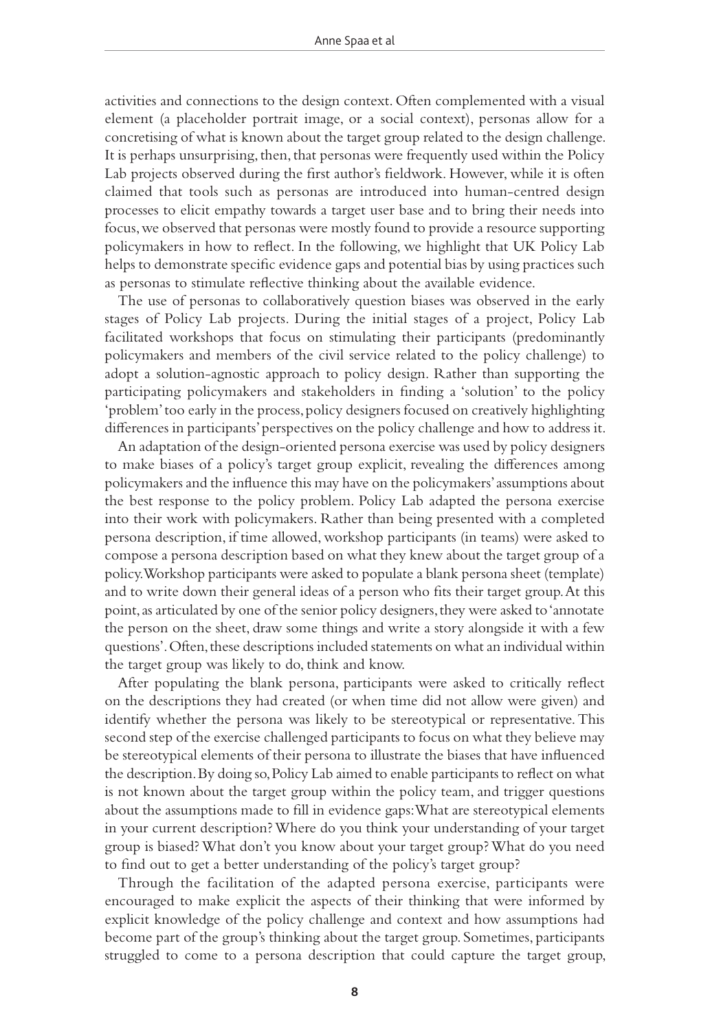activities and connections to the design context. Often complemented with a visual element (a placeholder portrait image, or a social context), personas allow for a concretising of what is known about the target group related to the design challenge. It is perhaps unsurprising, then, that personas were frequently used within the Policy Lab projects observed during the first author's fieldwork. However, while it is often claimed that tools such as personas are introduced into human-centred design processes to elicit empathy towards a target user base and to bring their needs into focus, we observed that personas were mostly found to provide a resource supporting policymakers in how to reflect. In the following, we highlight that UK Policy Lab helps to demonstrate specific evidence gaps and potential bias by using practices such as personas to stimulate reflective thinking about the available evidence.

The use of personas to collaboratively question biases was observed in the early stages of Policy Lab projects. During the initial stages of a project, Policy Lab facilitated workshops that focus on stimulating their participants (predominantly policymakers and members of the civil service related to the policy challenge) to adopt a solution-agnostic approach to policy design. Rather than supporting the participating policymakers and stakeholders in finding a 'solution' to the policy 'problem' too early in the process, policy designers focused on creatively highlighting differences in participants' perspectives on the policy challenge and how to address it.

An adaptation of the design-oriented persona exercise was used by policy designers to make biases of a policy's target group explicit, revealing the differences among policymakers and the influence this may have on the policymakers' assumptions about the best response to the policy problem. Policy Lab adapted the persona exercise into their work with policymakers. Rather than being presented with a completed persona description, if time allowed, workshop participants (in teams) were asked to compose a persona description based on what they knew about the target group of a policy. Workshop participants were asked to populate a blank persona sheet (template) and to write down their general ideas of a person who fits their target group. At this point, as articulated by one of the senior policy designers, they were asked to 'annotate the person on the sheet, draw some things and write a story alongside it with a few questions'. Often, these descriptions included statements on what an individual within the target group was likely to do, think and know.

After populating the blank persona, participants were asked to critically reflect on the descriptions they had created (or when time did not allow were given) and identify whether the persona was likely to be stereotypical or representative. This second step of the exercise challenged participants to focus on what they believe may be stereotypical elements of their persona to illustrate the biases that have influenced the description. By doing so, Policy Lab aimed to enable participants to reflect on what is not known about the target group within the policy team, and trigger questions about the assumptions made to fill in evidence gaps: What are stereotypical elements in your current description? Where do you think your understanding of your target group is biased? What don't you know about your target group? What do you need to find out to get a better understanding of the policy's target group?

Through the facilitation of the adapted persona exercise, participants were encouraged to make explicit the aspects of their thinking that were informed by explicit knowledge of the policy challenge and context and how assumptions had become part of the group's thinking about the target group. Sometimes, participants struggled to come to a persona description that could capture the target group,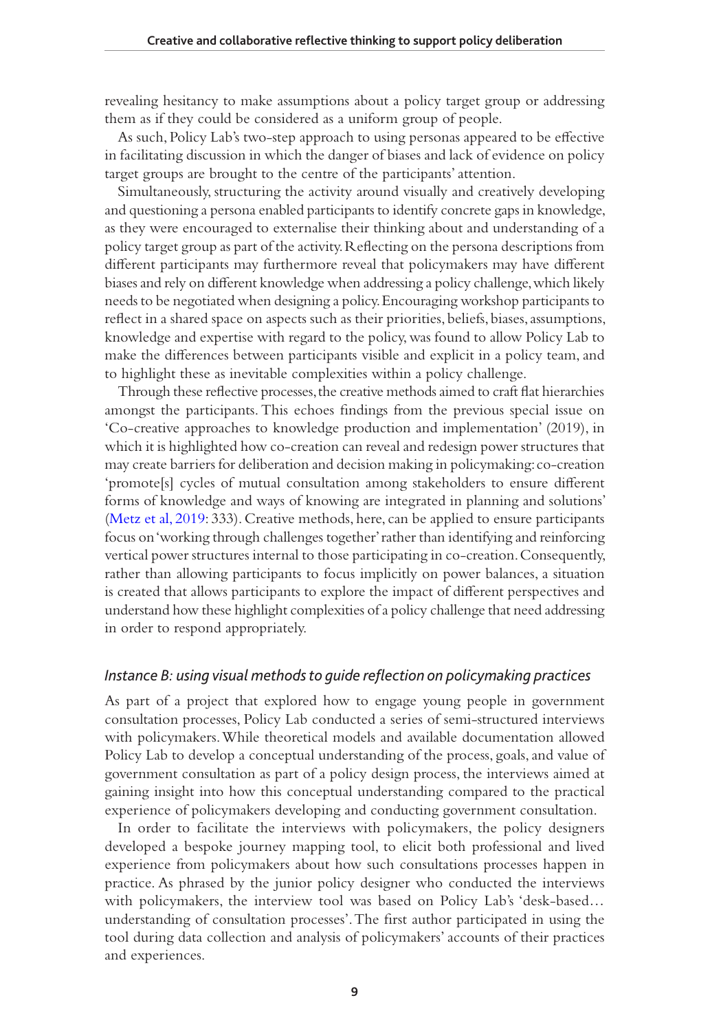revealing hesitancy to make assumptions about a policy target group or addressing them as if they could be considered as a uniform group of people.

As such, Policy Lab's two-step approach to using personas appeared to be effective in facilitating discussion in which the danger of biases and lack of evidence on policy target groups are brought to the centre of the participants' attention.

Simultaneously, structuring the activity around visually and creatively developing and questioning a persona enabled participants to identify concrete gaps in knowledge, as they were encouraged to externalise their thinking about and understanding of a policy target group as part of the activity. Reflecting on the persona descriptions from different participants may furthermore reveal that policymakers may have different biases and rely on different knowledge when addressing a policy challenge, which likely needs to be negotiated when designing a policy. Encouraging workshop participants to reflect in a shared space on aspects such as their priorities, beliefs, biases, assumptions, knowledge and expertise with regard to the policy, was found to allow Policy Lab to make the differences between participants visible and explicit in a policy team, and to highlight these as inevitable complexities within a policy challenge.

Through these reflective processes, the creative methods aimed to craft flat hierarchies amongst the participants. This echoes findings from the previous special issue on 'Co-creative approaches to knowledge production and implementation' (2019), in which it is highlighted how co-creation can reveal and redesign power structures that may create barriers for deliberation and decision making in policymaking: co-creation 'promote[s] cycles of mutual consultation among stakeholders to ensure different forms of knowledge and ways of knowing are integrated in planning and solutions' [\(Metz et al, 2019](#page-14-14): 333). Creative methods, here, can be applied to ensure participants focus on 'working through challenges together' rather than identifying and reinforcing vertical power structures internal to those participating in co-creation. Consequently, rather than allowing participants to focus implicitly on power balances, a situation is created that allows participants to explore the impact of different perspectives and understand how these highlight complexities of a policy challenge that need addressing in order to respond appropriately.

#### *Instance B: using visual methods to guide reflection on policymaking practices*

As part of a project that explored how to engage young people in government consultation processes, Policy Lab conducted a series of semi-structured interviews with policymakers. While theoretical models and available documentation allowed Policy Lab to develop a conceptual understanding of the process, goals, and value of government consultation as part of a policy design process, the interviews aimed at gaining insight into how this conceptual understanding compared to the practical experience of policymakers developing and conducting government consultation.

In order to facilitate the interviews with policymakers, the policy designers developed a bespoke journey mapping tool, to elicit both professional and lived experience from policymakers about how such consultations processes happen in practice. As phrased by the junior policy designer who conducted the interviews with policymakers, the interview tool was based on Policy Lab's 'desk-based… understanding of consultation processes'. The first author participated in using the tool during data collection and analysis of policymakers' accounts of their practices and experiences.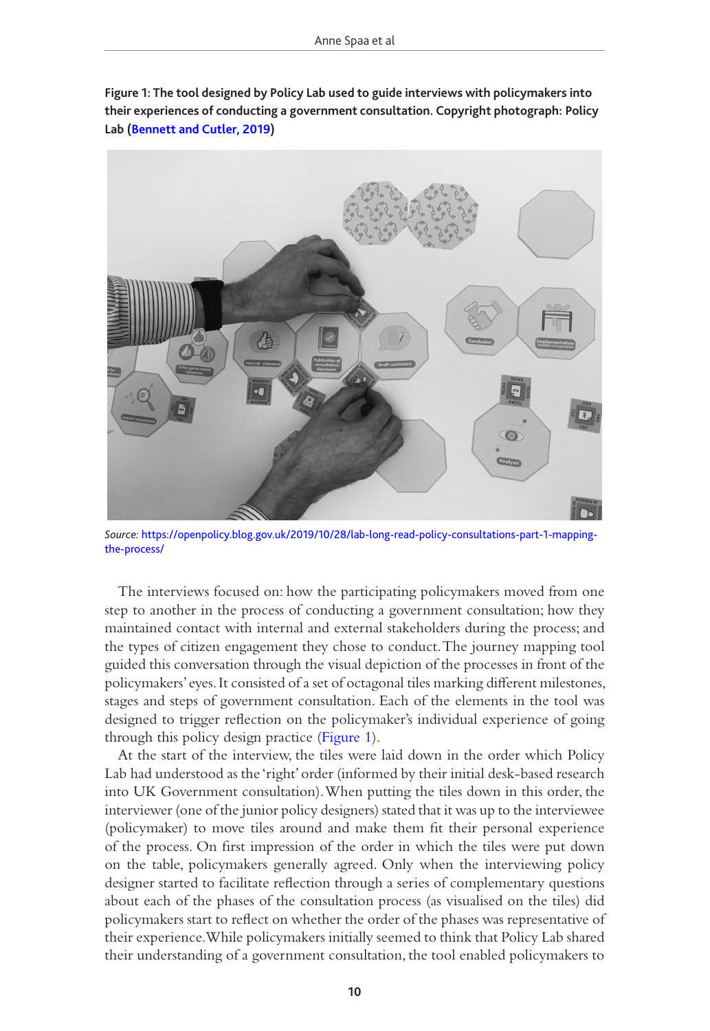

<span id="page-10-0"></span>**Figure 1: The tool designed by Policy Lab used to guide interviews with policymakers into their experiences of conducting a government consultation. Copyright photograph: Policy Lab [\(Bennett and Cutler, 2019\)](#page-13-5)**

*Source:* [https://openpolicy.blog.gov.uk/2019/10/28/lab-long-read-policy-consultations-part-1-mapping](https://openpolicy.blog.gov.uk/2019/10/28/lab-long-read-policy-consultations-part-1-mapping-the-process/)[the-process/](https://openpolicy.blog.gov.uk/2019/10/28/lab-long-read-policy-consultations-part-1-mapping-the-process/)

The interviews focused on: how the participating policymakers moved from one step to another in the process of conducting a government consultation; how they maintained contact with internal and external stakeholders during the process; and the types of citizen engagement they chose to conduct. The journey mapping tool guided this conversation through the visual depiction of the processes in front of the policymakers' eyes. It consisted of a set of octagonal tiles marking different milestones, stages and steps of government consultation. Each of the elements in the tool was designed to trigger reflection on the policymaker's individual experience of going through this policy design practice [\(Figure 1\)](#page-10-0).

At the start of the interview, the tiles were laid down in the order which Policy Lab had understood as the 'right' order (informed by their initial desk-based research into UK Government consultation). When putting the tiles down in this order, the interviewer (one of the junior policy designers) stated that it was up to the interviewee (policymaker) to move tiles around and make them fit their personal experience of the process. On first impression of the order in which the tiles were put down on the table, policymakers generally agreed. Only when the interviewing policy designer started to facilitate reflection through a series of complementary questions about each of the phases of the consultation process (as visualised on the tiles) did policymakers start to reflect on whether the order of the phases was representative of their experience. While policymakers initially seemed to think that Policy Lab shared their understanding of a government consultation, the tool enabled policymakers to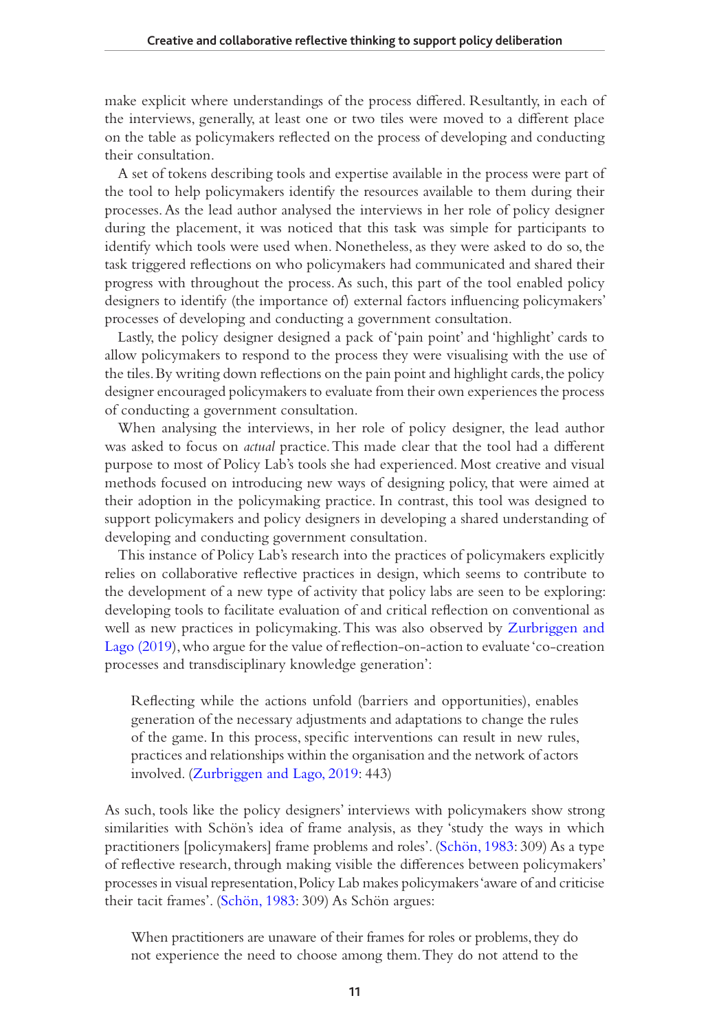make explicit where understandings of the process differed. Resultantly, in each of the interviews, generally, at least one or two tiles were moved to a different place on the table as policymakers reflected on the process of developing and conducting their consultation.

A set of tokens describing tools and expertise available in the process were part of the tool to help policymakers identify the resources available to them during their processes. As the lead author analysed the interviews in her role of policy designer during the placement, it was noticed that this task was simple for participants to identify which tools were used when. Nonetheless, as they were asked to do so, the task triggered reflections on who policymakers had communicated and shared their progress with throughout the process. As such, this part of the tool enabled policy designers to identify (the importance of) external factors influencing policymakers' processes of developing and conducting a government consultation.

Lastly, the policy designer designed a pack of 'pain point' and 'highlight' cards to allow policymakers to respond to the process they were visualising with the use of the tiles. By writing down reflections on the pain point and highlight cards, the policy designer encouraged policymakers to evaluate from their own experiences the process of conducting a government consultation.

When analysing the interviews, in her role of policy designer, the lead author was asked to focus on *actual* practice. This made clear that the tool had a different purpose to most of Policy Lab's tools she had experienced. Most creative and visual methods focused on introducing new ways of designing policy, that were aimed at their adoption in the policymaking practice. In contrast, this tool was designed to support policymakers and policy designers in developing a shared understanding of developing and conducting government consultation.

This instance of Policy Lab's research into the practices of policymakers explicitly relies on collaborative reflective practices in design, which seems to contribute to the development of a new type of activity that policy labs are seen to be exploring: developing tools to facilitate evaluation of and critical reflection on conventional as well as new practices in policymaking. This was also observed by [Zurbriggen and](#page-14-16)  [Lago \(2019](#page-14-16)), who argue for the value of reflection-on-action to evaluate 'co-creation processes and transdisciplinary knowledge generation':

Reflecting while the actions unfold (barriers and opportunities), enables generation of the necessary adjustments and adaptations to change the rules of the game. In this process, specific interventions can result in new rules, practices and relationships within the organisation and the network of actors involved. ([Zurbriggen and Lago, 2019](#page-14-16): 443)

As such, tools like the policy designers' interviews with policymakers show strong similarities with Schön's idea of frame analysis, as they 'study the ways in which practitioners [policymakers] frame problems and roles'. [\(Schön, 1983](#page-14-4): 309) As a type of reflective research, through making visible the differences between policymakers' processes in visual representation, Policy Lab makes policymakers 'aware of and criticise their tacit frames'. ([Schön, 1983](#page-14-4): 309) As Schön argues:

When practitioners are unaware of their frames for roles or problems, they do not experience the need to choose among them. They do not attend to the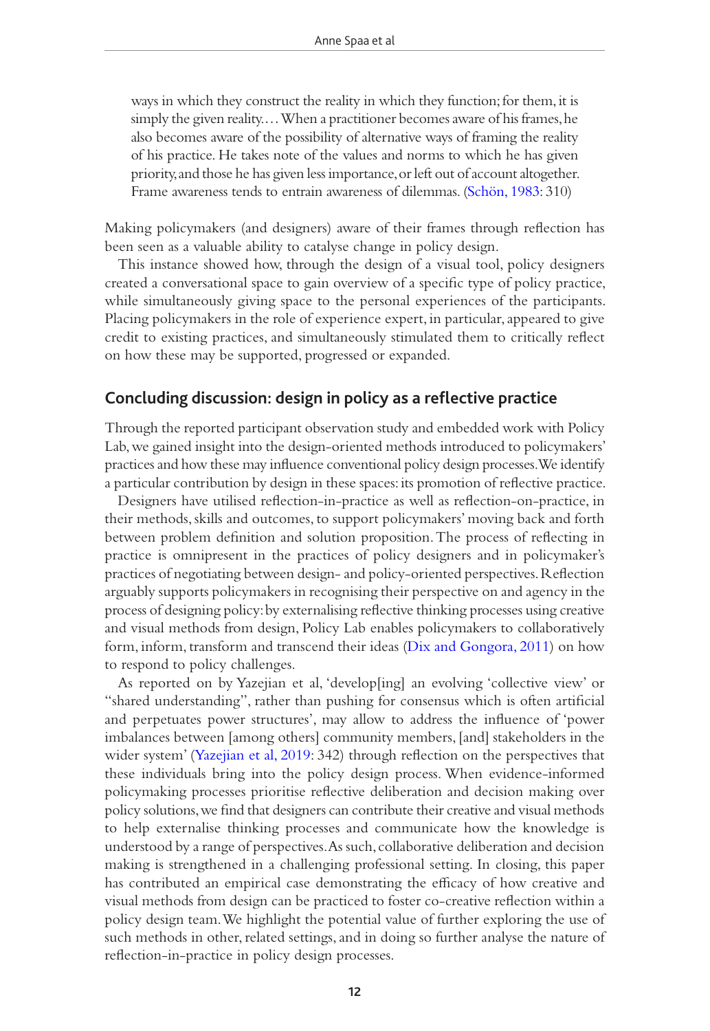ways in which they construct the reality in which they function; for them, it is simply the given reality.… When a practitioner becomes aware of his frames, he also becomes aware of the possibility of alternative ways of framing the reality of his practice. He takes note of the values and norms to which he has given priority, and those he has given less importance, or left out of account altogether. Frame awareness tends to entrain awareness of dilemmas. [\(Schön, 1983:](#page-14-4) 310)

Making policymakers (and designers) aware of their frames through reflection has been seen as a valuable ability to catalyse change in policy design.

This instance showed how, through the design of a visual tool, policy designers created a conversational space to gain overview of a specific type of policy practice, while simultaneously giving space to the personal experiences of the participants. Placing policymakers in the role of experience expert, in particular, appeared to give credit to existing practices, and simultaneously stimulated them to critically reflect on how these may be supported, progressed or expanded.

#### **Concluding discussion: design in policy as a reflective practice**

Through the reported participant observation study and embedded work with Policy Lab, we gained insight into the design-oriented methods introduced to policymakers' practices and how these may influence conventional policy design processes. We identify a particular contribution by design in these spaces: its promotion of reflective practice.

Designers have utilised reflection-in-practice as well as reflection-on-practice, in their methods, skills and outcomes, to support policymakers' moving back and forth between problem definition and solution proposition. The process of reflecting in practice is omnipresent in the practices of policy designers and in policymaker's practices of negotiating between design- and policy-oriented perspectives. Reflection arguably supports policymakers in recognising their perspective on and agency in the process of designing policy: by externalising reflective thinking processes using creative and visual methods from design, Policy Lab enables policymakers to collaboratively form, inform, transform and transcend their ideas ([Dix and Gongora, 2011\)](#page-14-6) on how to respond to policy challenges.

As reported on by Yazejian et al, 'develop[ing] an evolving 'collective view' or "shared understanding", rather than pushing for consensus which is often artificial and perpetuates power structures', may allow to address the influence of 'power imbalances between [among others] community members, [and] stakeholders in the wider system' ([Yazejian et al, 2019](#page-14-17): 342) through reflection on the perspectives that these individuals bring into the policy design process. When evidence-informed policymaking processes prioritise reflective deliberation and decision making over policy solutions, we find that designers can contribute their creative and visual methods to help externalise thinking processes and communicate how the knowledge is understood by a range of perspectives. As such, collaborative deliberation and decision making is strengthened in a challenging professional setting. In closing, this paper has contributed an empirical case demonstrating the efficacy of how creative and visual methods from design can be practiced to foster co-creative reflection within a policy design team. We highlight the potential value of further exploring the use of such methods in other, related settings, and in doing so further analyse the nature of reflection-in-practice in policy design processes.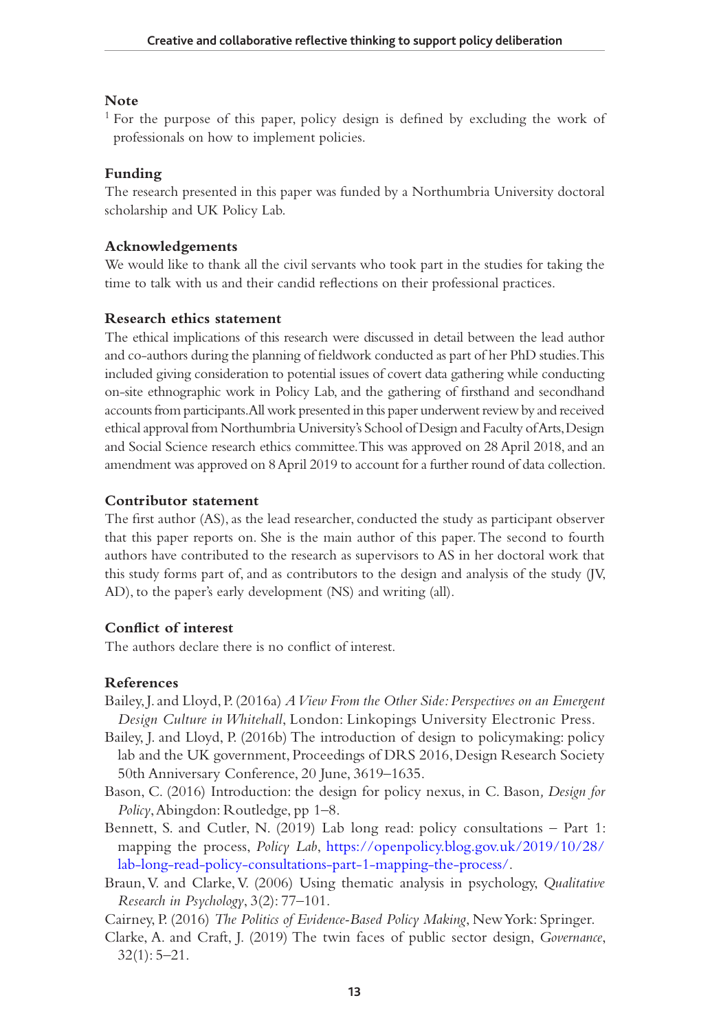#### **Note**

<sup>1</sup> For the purpose of this paper, policy design is defined by excluding the work of professionals on how to implement policies.

#### **Funding**

The research presented in this paper was funded by a Northumbria University doctoral scholarship and UK Policy Lab.

#### **Acknowledgements**

We would like to thank all the civil servants who took part in the studies for taking the time to talk with us and their candid reflections on their professional practices.

#### **Research ethics statement**

The ethical implications of this research were discussed in detail between the lead author and co-authors during the planning of fieldwork conducted as part of her PhD studies. This included giving consideration to potential issues of covert data gathering while conducting on-site ethnographic work in Policy Lab, and the gathering of firsthand and secondhand accounts from participants. All work presented in this paper underwent review by and received ethical approval from Northumbria University's School of Design and Faculty of Arts, Design and Social Science research ethics committee. This was approved on 28 April 2018, and an amendment was approved on 8 April 2019 to account for a further round of data collection.

#### **Contributor statement**

The first author (AS), as the lead researcher, conducted the study as participant observer that this paper reports on. She is the main author of this paper. The second to fourth authors have contributed to the research as supervisors to AS in her doctoral work that this study forms part of, and as contributors to the design and analysis of the study (JV, AD), to the paper's early development (NS) and writing (all).

#### **Conflict of interest**

The authors declare there is no conflict of interest.

#### **References**

- <span id="page-13-3"></span>Bailey, J. and Lloyd, P. (2016a) *A View From the Other Side: Perspectives on an Emergent Design Culture in Whitehall*, London: Linkopings University Electronic Press.
- <span id="page-13-2"></span>Bailey, J. and Lloyd, P. (2016b) The introduction of design to policymaking: policy lab and the UK government, Proceedings of DRS 2016, Design Research Society 50th Anniversary Conference, 20 June, 3619–1635.
- <span id="page-13-0"></span>Bason, C. (2016) Introduction: the design for policy nexus, in C. Bason*, Design for Policy*, Abingdon: Routledge, pp 1–8.
- <span id="page-13-5"></span>Bennett, S. and Cutler, N. (2019) Lab long read: policy consultations – Part 1: mapping the process, *Policy Lab*, [https://openpolicy.blog.gov.uk/2019/10/28/](https://openpolicy.blog.gov.uk/2019/10/28/lab-long-read-policy-consultations-part-1-mapping-the-process/) [lab-long-read-policy-consultations-part-1-mapping-the-process/.](https://openpolicy.blog.gov.uk/2019/10/28/lab-long-read-policy-consultations-part-1-mapping-the-process/)
- <span id="page-13-4"></span>Braun, V. and Clarke, V. (2006) Using thematic analysis in psychology, *Qualitative Research in Psychology*, 3(2): 77–101.

Cairney, P. (2016) *The Politics of Evidence-Based Policy Making*, New York: Springer.

<span id="page-13-1"></span>Clarke, A. and Craft, J. (2019) The twin faces of public sector design, *Governance*,  $32(1): 5-21.$